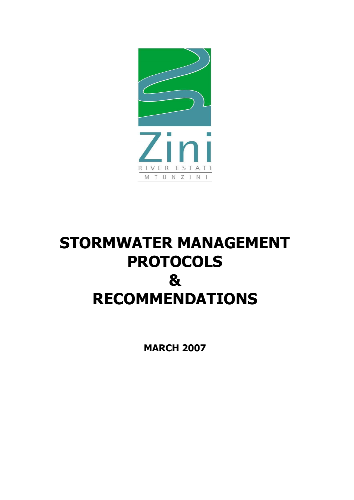

# **STORMWATER MANAGEMENT PROTOCOLS & RECOMMENDATIONS**

**MARCH 2007**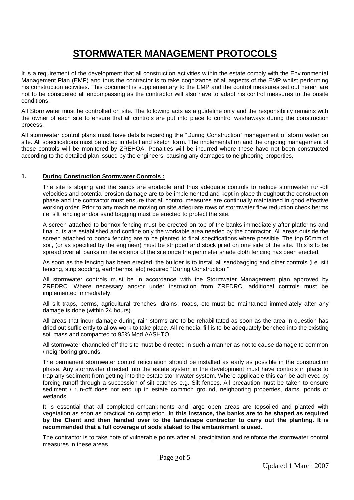## **STORMWATER MANAGEMENT PROTOCOLS**

It is a requirement of the development that all construction activities within the estate comply with the Environmental Management Plan (EMP) and thus the contractor is to take cognizance of all aspects of the EMP whilst performing his construction activities. This document is supplementary to the EMP and the control measures set out herein are not to be considered all encompassing as the contractor will also have to adapt his control measures to the onsite conditions.

All Stormwater must be controlled on site. The following acts as a guideline only and the responsibility remains with the owner of each site to ensure that all controls are put into place to control washaways during the construction process.

All stormwater control plans must have details regarding the "During Construction" management of storm water on site. All specifications must be noted in detail and sketch form. The implementation and the ongoing management of these controls will be monitored by ZREHOA. Penalties will be incurred where these have not been constructed according to the detailed plan issued by the engineers, causing any damages to neighboring properties.

#### **1. During Construction Stormwater Controls :**

The site is sloping and the sands are erodable and thus adequate controls to reduce stormwater run-off velocities and potential erosion damage are to be implemented and kept in place throughout the construction phase and the contractor must ensure that all control measures are continually maintained in good effective working order. Prior to any machine moving on site adequate rows of stormwater flow reduction check berms i.e. silt fencing and/or sand bagging must be erected to protect the site.

A screen attached to bonnox fencing must be erected on top of the banks immediately after platforms and final cuts are established and confine only the workable area needed by the contractor. All areas outside the screen attached to bonox fencing are to be planted to final specifications where possible. The top 50mm of soil, (or as specified by the engineer) must be stripped and stock piled on one side of the site. This is to be spread over all banks on the exterior of the site once the perimeter shade cloth fencing has been erected.

As soon as the fencing has been erected, the builder is to install all sandbagging and other controls (i.e. silt fencing, strip sodding, earthberms, etc) required "During Construction."

All stormwater controls must be in accordance with the Stormwater Management plan approved by ZREDRC. Where necessary and/or under instruction from ZREDRC, additional controls must be implemented immediately.

All silt traps, berms, agricultural trenches, drains, roads, etc must be maintained immediately after any damage is done (within 24 hours).

All areas that incur damage during rain storms are to be rehabilitated as soon as the area in question has dried out sufficiently to allow work to take place. All remedial fill is to be adequately benched into the existing soil mass and compacted to 95% Mod AASHTO.

All stormwater channeled off the site must be directed in such a manner as not to cause damage to common / neighboring grounds.

The permanent stormwater control reticulation should be installed as early as possible in the construction phase. Any stormwater directed into the estate system in the development must have controls in place to trap any sediment from getting into the estate stormwater system. Where applicable this can be achieved by forcing runoff through a succession of silt catches e.g. Silt fences. All precaution must be taken to ensure sediment / run-off does not end up in estate common ground, neighboring properties, dams, ponds or wetlands.

It is essential that all completed embankments and large open areas are topsoiled and planted with vegetation as soon as practical on completion. **In this instance, the banks are to be shaped as required by the Client and then handed over to the landscape contractor to carry out the planting. It is recommended that a full coverage of sods staked to the embankment is used.**

The contractor is to take note of vulnerable points after all precipitation and reinforce the stormwater control measures in these areas.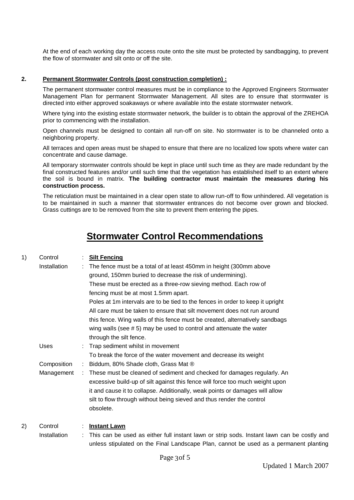At the end of each working day the access route onto the site must be protected by sandbagging, to prevent the flow of stormwater and silt onto or off the site.

#### **2. Permanent Stormwater Controls (post construction completion) :**

The permanent stormwater control measures must be in compliance to the Approved Engineers Stormwater Management Plan for permanent Stormwater Management. All sites are to ensure that stormwater is directed into either approved soakaways or where available into the estate stormwater network.

Where tying into the existing estate stormwater network, the builder is to obtain the approval of the ZREHOA prior to commencing with the installation.

Open channels must be designed to contain all run-off on site. No stormwater is to be channeled onto a neighboring property.

All terraces and open areas must be shaped to ensure that there are no localized low spots where water can concentrate and cause damage.

All temporary stormwater controls should be kept in place until such time as they are made redundant by the final constructed features and/or until such time that the vegetation has established itself to an extent where the soil is bound in matrix. **The building contractor must maintain the measures during his construction process.**

The reticulation must be maintained in a clear open state to allow run-off to flow unhindered. All vegetation is to be maintained in such a manner that stormwater entrances do not become over grown and blocked. Grass cuttings are to be removed from the site to prevent them entering the pipes.

### **Stormwater Control Recommendations**

| 1) | Control      | <b>Silt Fencing</b>                                                                                                                                                                 |
|----|--------------|-------------------------------------------------------------------------------------------------------------------------------------------------------------------------------------|
|    | Installation | The fence must be a total of at least 450mm in height (300mm above                                                                                                                  |
|    |              | ground, 150mm buried to decrease the risk of undermining).                                                                                                                          |
|    |              | These must be erected as a three-row sieving method. Each row of                                                                                                                    |
|    |              | fencing must be at most 1.5mm apart.                                                                                                                                                |
|    |              | Poles at 1m intervals are to be tied to the fences in order to keep it upright                                                                                                      |
|    |              | All care must be taken to ensure that silt movement does not run around                                                                                                             |
|    |              | this fence. Wing walls of this fence must be created, alternatively sandbags                                                                                                        |
|    |              | wing walls (see $# 5$ ) may be used to control and attenuate the water                                                                                                              |
|    |              | through the silt fence.                                                                                                                                                             |
|    | Uses         | Trap sediment whilst in movement                                                                                                                                                    |
|    |              | To break the force of the water movement and decrease its weight                                                                                                                    |
|    | Composition  | Biddum, 80% Shade cloth, Grass Mat ®                                                                                                                                                |
|    | Management   | These must be cleaned of sediment and checked for damages regularly. An                                                                                                             |
|    |              | excessive build-up of silt against this fence will force too much weight upon                                                                                                       |
|    |              | it and cause it to collapse. Additionally, weak points or damages will allow                                                                                                        |
|    |              | silt to flow through without being sieved and thus render the control                                                                                                               |
|    |              | obsolete.                                                                                                                                                                           |
|    |              |                                                                                                                                                                                     |
| 2) | Control      | <b>Instant Lawn</b>                                                                                                                                                                 |
|    | Installation | This can be used as either full instant lawn or strip sods. Instant lawn can be costly and<br>unless stipulated on the Final Landscape Plan, cannot be used as a permanent planting |
|    |              |                                                                                                                                                                                     |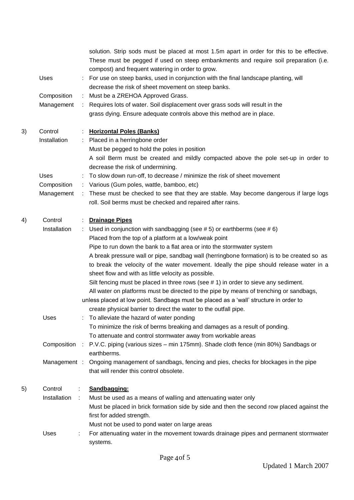|    |                      | solution. Strip sods must be placed at most 1.5m apart in order for this to be effective.<br>These must be pegged if used on steep embankments and require soil preparation (i.e.<br>compost) and frequent watering in order to grow. |
|----|----------------------|---------------------------------------------------------------------------------------------------------------------------------------------------------------------------------------------------------------------------------------|
|    | <b>Uses</b>          | For use on steep banks, used in conjunction with the final landscape planting, will<br>decrease the risk of sheet movement on steep banks.                                                                                            |
|    | Composition          | Must be a ZREHOA Approved Grass.<br>÷.                                                                                                                                                                                                |
|    | Management           | : Requires lots of water. Soil displacement over grass sods will result in the                                                                                                                                                        |
|    |                      | grass dying. Ensure adequate controls above this method are in place.                                                                                                                                                                 |
| 3) | Control              | <b>Horizontal Poles (Banks)</b>                                                                                                                                                                                                       |
|    | Installation         | : Placed in a herringbone order                                                                                                                                                                                                       |
|    |                      | Must be pegged to hold the poles in position                                                                                                                                                                                          |
|    |                      | A soil Berm must be created and mildly compacted above the pole set-up in order to<br>decrease the risk of undermining.                                                                                                               |
|    | <b>Uses</b>          | To slow down run-off, to decrease / minimize the risk of sheet movement                                                                                                                                                               |
|    | Composition          | Various (Gum poles, wattle, bamboo, etc)<br>÷.                                                                                                                                                                                        |
|    | Management           | These must be checked to see that they are stable. May become dangerous if large logs<br>÷.<br>roll. Soil berms must be checked and repaired after rains.                                                                             |
| 4) | Control              | <b>Drainage Pipes</b>                                                                                                                                                                                                                 |
|    | Installation         | Used in conjunction with sandbagging (see $# 5$ ) or earthberms (see $# 6$ )<br>÷.                                                                                                                                                    |
|    |                      | Placed from the top of a platform at a low/weak point                                                                                                                                                                                 |
|    |                      | Pipe to run down the bank to a flat area or into the stormwater system                                                                                                                                                                |
|    |                      | A break pressure wall or pipe, sandbag wall (herringbone formation) is to be created so as                                                                                                                                            |
|    |                      | to break the velocity of the water movement. Ideally the pipe should release water in a                                                                                                                                               |
|    |                      | sheet flow and with as little velocity as possible.                                                                                                                                                                                   |
|    |                      | Silt fencing must be placed in three rows (see # 1) in order to sieve any sediment.                                                                                                                                                   |
|    |                      | All water on platforms must be directed to the pipe by means of trenching or sandbags,                                                                                                                                                |
|    |                      | unless placed at low point. Sandbags must be placed as a 'wall' structure in order to                                                                                                                                                 |
|    |                      | create physical barrier to direct the water to the outfall pipe.                                                                                                                                                                      |
|    | Uses                 | To alleviate the hazard of water ponding                                                                                                                                                                                              |
|    |                      | To minimize the risk of berms breaking and damages as a result of ponding.                                                                                                                                                            |
|    |                      | To attenuate and control stormwater away from workable areas                                                                                                                                                                          |
|    |                      | Composition : P.V.C. piping (various sizes - min 175mm). Shade cloth fence (min 80%) Sandbags or<br>earthberms.                                                                                                                       |
|    |                      | Management : Ongoing management of sandbags, fencing and pies, checks for blockages in the pipe                                                                                                                                       |
|    |                      | that will render this control obsolete.                                                                                                                                                                                               |
| 5) | Control              | Sandbagging:<br>÷                                                                                                                                                                                                                     |
|    | Installation<br>- 11 | Must be used as a means of walling and attenuating water only                                                                                                                                                                         |
|    |                      | Must be placed in brick formation side by side and then the second row placed against the                                                                                                                                             |
|    |                      | first for added strength.                                                                                                                                                                                                             |
|    |                      | Must not be used to pond water on large areas                                                                                                                                                                                         |
|    | Uses                 | For attenuating water in the movement towards drainage pipes and permanent stormwater                                                                                                                                                 |
|    |                      | systems.                                                                                                                                                                                                                              |